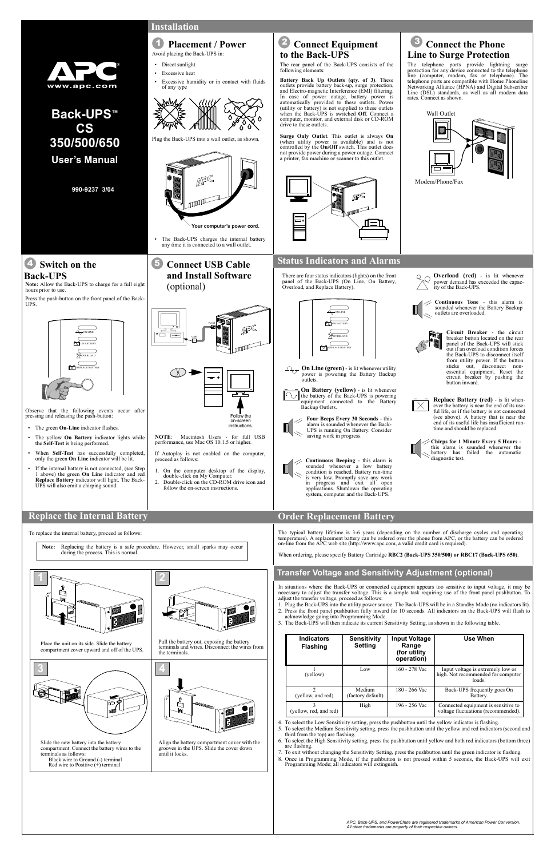In situations where the Back-UPS or connected equipment appears too sensitive to input voltage, it may be necessary to adjust the transfer voltage. This is a simple task requiring use of the front panel pushbutton. To adjust the transfer voltage, proceed as follows:

- 1. Plug the Back-UPS into the utility power source. The Back-UPS will be in a Standby Mode (no indicators lit). 2. Press the front panel pushbutton fully inward for 10 seconds. All indicators on the Back-UPS will flash to acknowledge going into Programming Mode.
- 3. The Back-UPS will then indicate its current Sensitivity Setting, as shown in the following table.



Once in Programming Mode, if the pushbutton is not pressed within 5 seconds, the Back-UPS will exit Programming Mode; all indicators will extinguish.

4. To select the Low Sensitivity setting, press the pushbutton until the yellow indicator is flashing.

5. To select the Medium Sensitivity setting, press the pushbutton until the yellow and red indicators (second and third from the top) are flashing.

6. To select the High Sensitivity setting, press the pushbutton until yellow and both red indicators (bottom three)

7. To exit without changing the Sensitivity Setting, press the pushbutton until the green indicator is flashing.

| <b>Indicators</b><br><b>Flashing</b> | <b>Sensitivity</b><br><b>Setting</b> | <b>Input Voltage</b><br>Range<br>(for utility)<br>operation) | <b>Use When</b>                                                                   |
|--------------------------------------|--------------------------------------|--------------------------------------------------------------|-----------------------------------------------------------------------------------|
| (yellow)                             | Low                                  | 160 - 278 Vac                                                | Input voltage is extremely low or<br>high. Not recommended for computer<br>loads. |
| (yellow, and red)                    | Medium<br>(factory default)          | 180 - 266 Vac                                                | Back-UPS frequently goes On<br>Battery.                                           |
| (yellow, red, and red)               | High                                 | 196 - 256 Vac                                                | Connected equipment is sensitive to<br>voltage fluctuations (recommended).        |

**On Line (green)** - is lit whenever utility power is powering the Battery Backup outlets.

**990-9237 3/04**

**Installation**

The rear panel of the Back-UPS consists of the following elements:

**Battery Back Up Outlets (qty. of 3)**. These outlets provide battery back-up, surge protection, and Electro-magnetic Interference (EMI) filtering. In case of power outage, battery power is automatically provided to these outlets. Power (utility or battery) is not supplied to these outlets when the Back-UPS is switched **Off**. Connect a computer, monitor, and external disk or CD-ROM drive to these outlets.

**Surge Only Outlet**. This outlet is always **On** (when utility power is available) and is not controlled by the **On/Off** switch. This outlet does not provide power during a power outage. Connect a printer, fax machine or scanner to this outlet.



The Back-UPS charges the internal battery any time it is connected to a wall outlet.

**Note:** Allow the Back-UPS to charge for a full eight

hours prior to use.

Press the push-button on the front panel of the Back-

UPS.

Observe that the following events occur after

The yellow **On Battery** indicator lights while

pressing and releasing the push-button: • The green **On-Line** indicator flashes.

#### 1 **Placement / Power** 2 **Connect Equipment** 3 **Connect the Phone** Avoid placing the Back-UPS in: **Line to Surge Protection Line to Surge Protection to the Back-UPS**

the **Self-Test** is being performed.

 • When **Self-Test** has successfully completed, only the green **On Line** indicator will be lit. • If the internal battery is not connected, (see Step 1 above) the green **On Line** indicator and red **Replace Battery** indicator will light. The Back-

UPS will also emit a chirping sound.

ON LINE ON BATTERY OVERLOAD REPLACE BATTERY



There are four status indicators (lights) on the front panel of the Back-UPS (On Line, On Battery, Overload, and Replace Battery).



**On Battery (yellow)** - is lit whenever N J the battery of the Back-UPS is powering equipment connected to the Battery Backup Outlets.

**Back-UPS™ 350/500/650 User's Manual CS**



**Continuous Beeping** - this alarm is sounded whenever a low battery condition is reached. Battery run-time is very low. Promptly save any work in progress and exit all open applications. Shutdown the operating system, computer and the Back-UPS.

breaker button located on the rear panel of the Back-UPS will stick out if an overload condition forces the Back-UPS to disconnect itself from utility power. If the button sticks out, disconnect nonessential equipment. Reset the circuit breaker by pushing the button inward.

 • Direct sunlight • Excessive heat

of any type





5 **Connect USB Cable and Install Software** (optional)

**Your computer's power cord.**

Excessive humidity or in contact with fluids

The telephone ports provide lightning surge protection for any device connected to the telephone line (computer, modem, fax or telephone). The telephone ports are compatible with Home Phoneline Networking Alliance (HPNA) and Digital Subscriber Line (DSL) standards, as well as all modem data rates. Connect as shown.



**Chirps for 1 Minute Every 5 Hours** this alarm is sounded whenever the battery has failed the automatic diagnostic test.

# **®**

4 **Switch on the**

**Back-UPS**

**Replace the Internal Battery**

To replace the internal battery, proceed as follows:

**Note:** Replacing the battery is a safe procedure. However, small sparks may occur during the process. This is normal.



www.apc.com

- If Autoplay is not enabled on the computer, proceed as follows:
- 1. On the computer desktop of the display, double-click on My Computer.
- 2. Double-click on the CD-ROM drive icon and follow the on-screen instructions.

## **Status Indicators and Alarms**



The typical battery lifetime is 3-6 years (depending on the number of discharge cycles and operating temperature). A replacement battery can be ordered over the phone from APC, or the battery can be ordered on-line from the APC web site (http://www.apc.com, a valid credit card is required).

When ordering, please specify Battery Cartridge **RBC2 (Back-UPS 350/500) or RBC17 (Back-UPS 650)**.

# **Transfer Voltage and Sensitivity Adjustment (optional)**

*APC, Back-UPS, and PowerChute are registered trademarks of American Power Conversion. All other trademarks are property of their respective owners.*